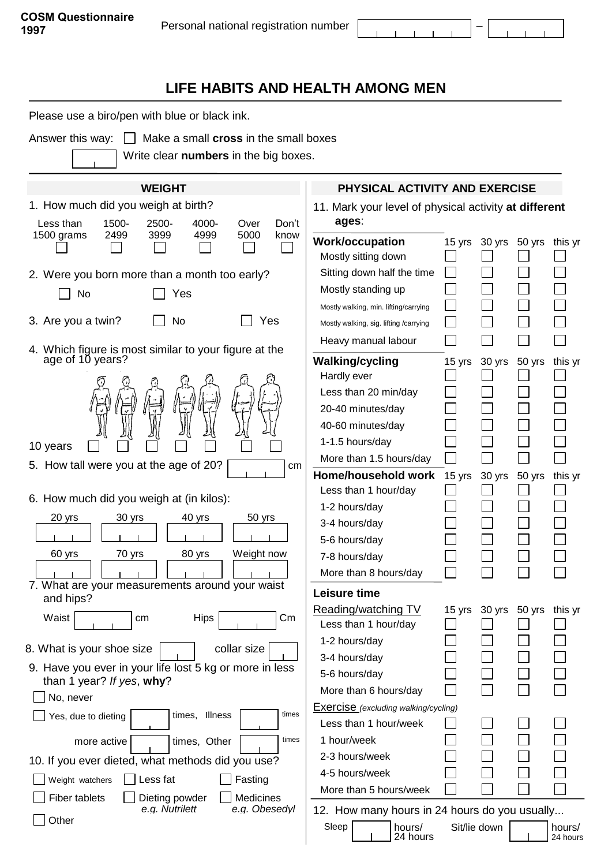$\sim 10^{-11}$  $\mathbf{r}$ 

 $\mathbf{r}$ 

## **LIFE HABITS AND HEALTH AMONG MEN**

Please use a biro/pen with blue or black ink.

Answer this way:  $\Box$  Make a small **cross** in the small boxes

Write clear **numbers** in the big boxes.

| 1. How much did you weigh at birth?                                                                                                          |                                                       |  |  |  |  |  |
|----------------------------------------------------------------------------------------------------------------------------------------------|-------------------------------------------------------|--|--|--|--|--|
| ages:<br>1500-<br>2500-<br>4000-<br>Less than<br>Over<br>Don't                                                                               | 11. Mark your level of physical activity at different |  |  |  |  |  |
| 5000<br>1500 grams<br>2499<br>3999<br>4999<br>know<br><b>Work/occupation</b><br>15 yrs<br>30 yrs<br>50 yrs<br>this yr<br>Mostly sitting down |                                                       |  |  |  |  |  |
| Sitting down half the time<br>2. Were you born more than a month too early?                                                                  |                                                       |  |  |  |  |  |
| Mostly standing up<br>Yes<br>No                                                                                                              |                                                       |  |  |  |  |  |
| Mostly walking, min. lifting/carrying                                                                                                        |                                                       |  |  |  |  |  |
| 3. Are you a twin?<br>No<br>Yes<br>Mostly walking, sig. lifting /carrying                                                                    |                                                       |  |  |  |  |  |
| Heavy manual labour                                                                                                                          |                                                       |  |  |  |  |  |
| 4. Which figure is most similar to your figure at the<br>age of 10 years?<br><b>Walking/cycling</b><br>30 yrs<br>50 yrs<br>this yr<br>15 yrs |                                                       |  |  |  |  |  |
| Hardly ever                                                                                                                                  |                                                       |  |  |  |  |  |
| Less than 20 min/day                                                                                                                         |                                                       |  |  |  |  |  |
| 20-40 minutes/day                                                                                                                            |                                                       |  |  |  |  |  |
| 40-60 minutes/day                                                                                                                            |                                                       |  |  |  |  |  |
| 1-1.5 hours/day<br>10 years                                                                                                                  |                                                       |  |  |  |  |  |
| More than 1.5 hours/day<br>5. How tall were you at the age of 20?<br>сm                                                                      |                                                       |  |  |  |  |  |
| Home/household work<br>15 yrs<br>30 yrs<br>50 yrs<br>this yr                                                                                 |                                                       |  |  |  |  |  |
| Less than 1 hour/day<br>6. How much did you weigh at (in kilos):                                                                             |                                                       |  |  |  |  |  |
| 1-2 hours/day                                                                                                                                |                                                       |  |  |  |  |  |
| 20 yrs<br>30 yrs<br>40 yrs<br>50 yrs<br>3-4 hours/day                                                                                        |                                                       |  |  |  |  |  |
| 5-6 hours/day                                                                                                                                |                                                       |  |  |  |  |  |
| 60 yrs<br>70 yrs<br>80 yrs<br>Weight now<br>7-8 hours/day                                                                                    |                                                       |  |  |  |  |  |
| More than 8 hours/day                                                                                                                        |                                                       |  |  |  |  |  |
| 7. What are your measurements around your waist<br>Leisure time<br>and hips?                                                                 |                                                       |  |  |  |  |  |
| Reading/watching TV<br>50 yrs<br>15 yrs<br>30 yrs<br>this yr                                                                                 |                                                       |  |  |  |  |  |
| Waist<br><b>Hips</b><br>$\mathsf{Cm}$<br>cm<br>Less than 1 hour/day                                                                          |                                                       |  |  |  |  |  |
| 1-2 hours/day<br>collar size<br>8. What is your shoe size                                                                                    |                                                       |  |  |  |  |  |
| 3-4 hours/day<br>9. Have you ever in your life lost 5 kg or more in less                                                                     |                                                       |  |  |  |  |  |
| 5-6 hours/day<br>than 1 year? If yes, why?                                                                                                   |                                                       |  |  |  |  |  |
| More than 6 hours/day<br>No, never                                                                                                           |                                                       |  |  |  |  |  |
| Exercise (excluding walking/cycling)<br>times, Illness<br>times<br>Yes, due to dieting                                                       |                                                       |  |  |  |  |  |
| Less than 1 hour/week                                                                                                                        |                                                       |  |  |  |  |  |
| 1 hour/week<br>times<br>times, Other<br>more active                                                                                          |                                                       |  |  |  |  |  |
| 2-3 hours/week<br>10. If you ever dieted, what methods did you use?                                                                          |                                                       |  |  |  |  |  |
| 4-5 hours/week<br>Less fat<br>Fasting<br>Weight watchers                                                                                     |                                                       |  |  |  |  |  |
| More than 5 hours/week<br><b>Fiber tablets</b><br>Medicines<br>Dieting powder                                                                |                                                       |  |  |  |  |  |
| e.g. Nutrilett<br>e.g. Obesedyl<br>12. How many hours in 24 hours do you usually                                                             |                                                       |  |  |  |  |  |
| Other<br>Sleep<br>Sit/lie down<br>hours/<br>hours/<br>24 hours<br>24 hours                                                                   |                                                       |  |  |  |  |  |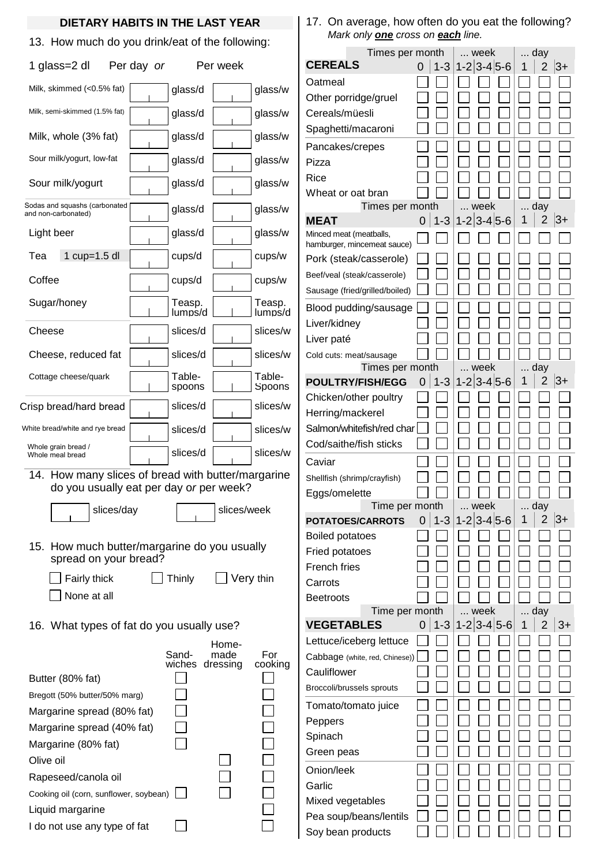## **DIETARY HABITS IN THE LAST YEAR**

13. How much do you drink/eat of the following:

| 1 glass=2 dl                                                                                                                                        | Per day or |                   | Per week                  |                     |  |  |  |
|-----------------------------------------------------------------------------------------------------------------------------------------------------|------------|-------------------|---------------------------|---------------------|--|--|--|
| Milk, skimmed (<0.5% fat)                                                                                                                           |            | glass/d           |                           | glass/w             |  |  |  |
| Milk, semi-skimmed (1.5% fat)                                                                                                                       |            | glass/d           |                           | glass/w             |  |  |  |
| Milk, whole (3% fat)                                                                                                                                |            | glass/d           |                           | glass/w             |  |  |  |
| Sour milk/yogurt, low-fat                                                                                                                           |            | glass/d           |                           | glass/w             |  |  |  |
| Sour milk/yogurt                                                                                                                                    |            | glass/d           |                           | glass/w             |  |  |  |
| Sodas and squashs (carbonated<br>and non-carbonated)                                                                                                |            | glass/d           |                           | glass/w             |  |  |  |
| Light beer                                                                                                                                          |            | glass/d           |                           | glass/w             |  |  |  |
| 1 cup=1.5 dl<br>Tea                                                                                                                                 |            | cups/d            |                           | cups/w              |  |  |  |
| Coffee                                                                                                                                              |            | cups/d            |                           | cups/w              |  |  |  |
| Sugar/honey                                                                                                                                         |            | Teasp.<br>lumps/d |                           | Teasp.<br>lumps/d   |  |  |  |
| Cheese                                                                                                                                              |            | slices/d          |                           | slices/w            |  |  |  |
| Cheese, reduced fat                                                                                                                                 |            | slices/d          |                           | slices/w            |  |  |  |
| Cottage cheese/quark                                                                                                                                |            | Table-<br>spoons  |                           | Table-<br>Spoons    |  |  |  |
| Crisp bread/hard bread                                                                                                                              |            | slices/d          |                           | slices/w            |  |  |  |
| White bread/white and rye bread                                                                                                                     |            | slices/d          |                           | slices/w            |  |  |  |
| Whole grain bread /<br>Whole meal bread                                                                                                             |            | slices/d          |                           | slices/w            |  |  |  |
| 14. How many slices of bread with butter/margarine<br>do you usually eat per day or per week?                                                       |            |                   |                           |                     |  |  |  |
| slices/day<br>the contract of                                                                                                                       |            |                   | slices/week               |                     |  |  |  |
| 15. How much butter/margarine do you usually<br>spread on your bread?<br>Very thin<br>Fairly thick<br>Thinly<br>None at all                         |            |                   |                           |                     |  |  |  |
| 16. What types of fat do you usually use?                                                                                                           |            |                   |                           |                     |  |  |  |
| Butter (80% fat)<br>Bregott (50% butter/50% marg)<br>Margarine spread (80% fat)                                                                     |            | Sand-<br>wiches   | Home-<br>made<br>dressing | For<br>cooking      |  |  |  |
| Margarine spread (40% fat)<br>Margarine (80% fat)<br>Olive oil<br>Rapeseed/canola oil<br>Cooking oil (corn, sunflower, soybean)<br>Liquid margarine |            |                   |                           | <br> <br> <br> <br> |  |  |  |
| I do not use any type of fat                                                                                                                        |            |                   |                           |                     |  |  |  |

17. On average, how often do you eat the following? *Mark only one cross on each line.*

| Times per month                    |   |         | week                          | day    |                |       |
|------------------------------------|---|---------|-------------------------------|--------|----------------|-------|
| <b>CEREALS</b>                     | 0 | $1 - 3$ | $1 - 2 \mid 3 - 4 \mid 5 - 6$ | 1      | $\overline{2}$ | $ 3+$ |
| Oatmeal                            |   |         |                               |        |                |       |
| Other porridge/gruel               |   |         |                               |        |                |       |
| Cereals/müesli                     |   |         |                               |        |                |       |
| Spaghetti/macaroni                 |   |         |                               |        |                |       |
|                                    |   |         |                               |        |                |       |
| Pancakes/crepes                    |   |         |                               |        |                |       |
| Pizza<br>Rice                      |   |         |                               |        |                |       |
|                                    |   |         |                               |        |                |       |
| Wheat or oat bran                  |   |         | week                          |        | day            |       |
| Times per month<br>MEAT            | 0 | $1 - 3$ | $1 - 2 \mid 3 - 4 \mid 5 - 6$ | .<br>1 | $\overline{2}$ | 3+    |
| Minced meat (meatballs,            |   |         |                               |        |                |       |
| hamburger, mincemeat sauce)        |   |         |                               |        |                |       |
| Pork (steak/casserole)             |   |         |                               |        |                |       |
| Beef/veal (steak/casserole)        |   |         |                               |        |                |       |
| Sausage (fried/grilled/boiled)     |   |         |                               |        |                |       |
| Blood pudding/sausage              |   |         |                               |        |                |       |
| Liver/kidney                       |   |         |                               |        |                |       |
| Liver paté                         |   |         |                               |        |                |       |
| Cold cuts: meat/sausage            |   |         |                               |        |                |       |
| Times per month                    |   |         | week                          | day    |                |       |
| <b>POULTRY/FISH/EGG</b>            | 0 | $1 - 3$ | $1 - 2 \mid 3 - 4 \mid 5 - 6$ | 1      | $\overline{2}$ | 3+    |
| Chicken/other poultry              |   |         |                               |        |                |       |
| Herring/mackerel                   |   |         |                               |        |                |       |
| Salmon/whitefish/red char          |   |         |                               |        |                |       |
| Cod/saithe/fish sticks             |   |         |                               |        |                |       |
|                                    |   |         |                               |        |                |       |
| Caviar                             |   |         |                               |        |                |       |
| Shellfish (shrimp/crayfish)        |   |         |                               |        |                |       |
| Eggs/omelette<br>Time per month    |   |         | week                          | day    |                |       |
| POTATOES/CARROTS                   | 0 | $1 - 3$ | $1 - 2 \mid 3 - 4 \mid 5 - 6$ | 1      | 2              | 3+    |
| <b>Boiled potatoes</b>             |   |         |                               |        |                |       |
|                                    |   |         |                               |        |                |       |
| <b>Fried potatoes</b>              |   |         |                               |        |                |       |
| <b>French fries</b>                |   |         |                               |        |                |       |
| Carrots                            |   |         |                               |        |                |       |
| <b>Beetroots</b><br>Time per month |   |         | week                          |        | day            |       |
| <b>VEGETABLES</b>                  | 0 | $1 - 3$ | $1 - 2 3 - 4 5 - 6$           | 1      | 2              | 3+    |
| Lettuce/iceberg lettuce            |   |         |                               |        |                |       |
| Cabbage (white, red, Chinese))     |   |         |                               |        |                |       |
| Cauliflower                        |   |         |                               |        |                |       |
|                                    |   |         |                               |        |                |       |
| Broccoli/brussels sprouts          |   |         |                               |        |                |       |
| Tomato/tomato juice                |   |         |                               |        |                |       |
| Peppers                            |   |         |                               |        |                |       |
| Spinach                            |   |         |                               |        |                |       |
| Green peas                         |   |         |                               |        |                |       |
| Onion/leek                         |   |         |                               |        |                |       |
| Garlic                             |   |         |                               |        |                |       |
| Mixed vegetables                   |   |         |                               |        |                |       |
| Pea soup/beans/lentils             |   |         |                               |        |                |       |
| Soy bean products                  |   |         |                               |        |                |       |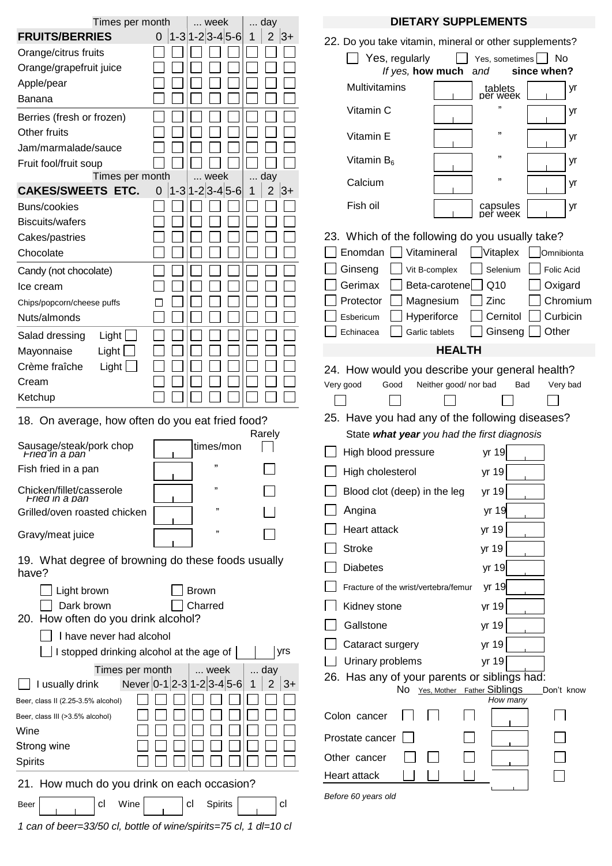| Times per month<br>week<br>day                              |                                       |                              | <b>DIETARY SUPPLEMENTS</b>                             |  |  |  |  |
|-------------------------------------------------------------|---------------------------------------|------------------------------|--------------------------------------------------------|--|--|--|--|
| <b>FRUITS/BERRIES</b>                                       | $ 1-3 1-2 3-4 5-6 $<br>$\overline{0}$ | $\overline{2}$<br>$ 3+$<br>1 | 22. Do you take vitamin, mineral or other supplements? |  |  |  |  |
| Orange/citrus fruits                                        |                                       |                              |                                                        |  |  |  |  |
| Orange/grapefruit juice                                     |                                       |                              | Yes, regularly<br>Yes, sometimes<br><b>No</b>          |  |  |  |  |
| Apple/pear                                                  |                                       |                              | If yes, how much<br>since when?<br>and                 |  |  |  |  |
| Banana                                                      |                                       |                              | Multivitamins<br>tablets<br>per week<br>yr             |  |  |  |  |
| Berries (fresh or frozen)                                   |                                       |                              | ,,<br>Vitamin C<br>yr                                  |  |  |  |  |
| Other fruits                                                |                                       |                              | ,,                                                     |  |  |  |  |
| Jam/marmalade/sauce                                         |                                       |                              | Vitamin E<br>yr                                        |  |  |  |  |
| Fruit fool/fruit soup                                       |                                       |                              | ,,<br>Vitamin $B_6$<br>yr                              |  |  |  |  |
| Times per month                                             | week                                  | day                          | ,,<br>Calcium<br>yr                                    |  |  |  |  |
| <b>CAKES/SWEETS ETC.</b>                                    | $ 1-3 1-2 3-4 5-6 $<br>$\mathbf 0$    | $\overline{2}$<br>$ 3+$<br>1 |                                                        |  |  |  |  |
| Buns/cookies                                                |                                       |                              | Fish oil<br>capsules<br>per week<br>yr                 |  |  |  |  |
| <b>Biscuits/wafers</b>                                      |                                       |                              |                                                        |  |  |  |  |
| Cakes/pastries                                              |                                       |                              | 23. Which of the following do you usually take?        |  |  |  |  |
| Chocolate                                                   |                                       |                              | Vitamineral<br>Enomdan<br>Vitaplex<br>Omnibionta       |  |  |  |  |
| Candy (not chocolate)                                       |                                       |                              | Ginseng<br>Selenium<br>Folic Acid<br>Vit B-complex     |  |  |  |  |
| Ice cream                                                   |                                       |                              | Q10<br>Oxigard<br>Gerimax<br>Beta-carotene             |  |  |  |  |
|                                                             |                                       |                              | Chromium                                               |  |  |  |  |
| Chips/popcorn/cheese puffs                                  |                                       |                              | Magnesium<br>Zinc<br>Protector                         |  |  |  |  |
| Nuts/almonds                                                |                                       |                              | Cernitol<br>Curbicin<br>Hyperiforce<br>Esbericum       |  |  |  |  |
| Light  <br>Salad dressing                                   |                                       |                              | Other<br>Ginseng<br>Garlic tablets<br>Echinacea        |  |  |  |  |
| Light<br>Mayonnaise                                         |                                       |                              | <b>HEALTH</b>                                          |  |  |  |  |
| Crème fraîche<br>Light $\Box$                               |                                       |                              | 24. How would you describe your general health?        |  |  |  |  |
| Cream                                                       |                                       |                              | Neither good/ nor bad                                  |  |  |  |  |
| Ketchup                                                     |                                       |                              | Very good<br>Good<br>Bad<br>Very bad                   |  |  |  |  |
|                                                             |                                       |                              |                                                        |  |  |  |  |
| 18. On average, how often do you eat fried food?            |                                       |                              | 25. Have you had any of the following diseases?        |  |  |  |  |
|                                                             |                                       | Rarely                       | State what year you had the first diagnosis            |  |  |  |  |
| Sausage/steak/pork chop<br>Fried in a pan                   | times/mon                             |                              | High blood pressure<br>yr 19                           |  |  |  |  |
| Fish fried in a pan                                         | ,,                                    |                              | yr 19<br>High cholesterol                              |  |  |  |  |
| Chicken/fillet/casserole<br>Fried in a pan                  | ,,                                    |                              | Blood clot (deep) in the leg<br>yr 19                  |  |  |  |  |
| Grilled/oven roasted chicken                                | ,,                                    |                              | Angina<br>yr 19                                        |  |  |  |  |
| Gravy/meat juice                                            | ,,                                    |                              | Heart attack<br>yr 19                                  |  |  |  |  |
|                                                             |                                       |                              | <b>Stroke</b><br>yr 19                                 |  |  |  |  |
| 19. What degree of browning do these foods usually<br>have? |                                       |                              | <b>Diabetes</b><br>yr 19                               |  |  |  |  |
|                                                             |                                       |                              | yr 19<br>Fracture of the wrist/vertebra/femur          |  |  |  |  |
| Light brown                                                 | <b>Brown</b>                          |                              |                                                        |  |  |  |  |
| Dark brown<br>20. How often do you drink alcohol?           | Charred                               |                              | Kidney stone<br>yr 19                                  |  |  |  |  |
| I have never had alcohol                                    |                                       |                              | Gallstone<br>yr 19                                     |  |  |  |  |
| I stopped drinking alcohol at the age of                    |                                       | yrs                          | yr 19<br>Cataract surgery                              |  |  |  |  |
|                                                             |                                       |                              | Urinary problems<br>yr 19                              |  |  |  |  |
| Times per month                                             | week                                  | day                          | 26. Has any of your parents or siblings had:           |  |  |  |  |
| I usually drink                                             | Never $ 0-1 2-3 1-2 3-4 5-6 $         | 2<br>$ 3+$                   | No Yes, Mother Father Siblings<br>Don't know           |  |  |  |  |
| Beer, class II (2.25-3.5% alcohol)                          |                                       |                              | How many                                               |  |  |  |  |
| Beer, class III (>3.5% alcohol)                             |                                       |                              | Colon cancer                                           |  |  |  |  |
| Wine                                                        |                                       |                              | Prostate cancer                                        |  |  |  |  |
| Strong wine                                                 |                                       |                              |                                                        |  |  |  |  |
| <b>Spirits</b>                                              |                                       |                              | Other cancer                                           |  |  |  |  |
| 21. How much do you drink on each occasion?                 |                                       |                              | Heart attack                                           |  |  |  |  |
| Wine<br>cl                                                  | Spirits<br>cl                         | <sub>C</sub>                 | Before 60 years old                                    |  |  |  |  |
| Beer                                                        |                                       |                              |                                                        |  |  |  |  |

*1 can of beer=33/50 cl, bottle of wine/spirits=75 cl, 1 dl=10 cl*